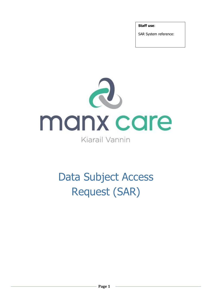**Staff use**:

SAR System reference:



# Data Subject Access Request (SAR)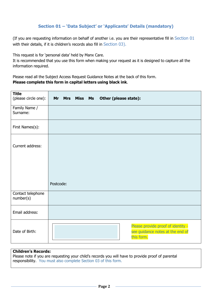# **Section 01 – 'Data Subject' or 'Applicants' Details (mandatory)**

(If you are requesting information on behalf of another i.e. you are their representative fill in Section 01 with their details, if it is children's records also fill in Section 03).

This request is for 'personal data' held by Manx Care.

It is recommended that you use this form when making your request as it is designed to capture all the information required.

Please read all the Subject Access Request Guidance Notes at the back of this form. **Please complete this form in capital letters using black ink.**

| <b>Title</b><br>(please circle one): | <b>Mr</b><br><b>Mrs Miss Ms</b><br>Other (please state):                             |
|--------------------------------------|--------------------------------------------------------------------------------------|
| Family Name /<br>Surname:            |                                                                                      |
| First Names(s):                      |                                                                                      |
| Current address:                     | Postcode:                                                                            |
| Contact telephone<br>number(s)       |                                                                                      |
| Email address:                       |                                                                                      |
| Date of Birth:                       | Please provide proof of identity -<br>see guidance notes at the end of<br>this form. |

## **Children's Records:**

Please note if you are requesting your child's records you will have to provide proof of parental responsibility. You must also complete Section 03 of this form.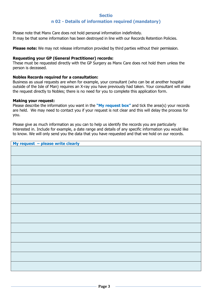# **Sectio n 02 - Details of information required (mandatory)**

Please note that Manx Care does not hold personal information indefinitely. It may be that some information has been destroyed in line with our Records Retention Policies.

**Please note:** We may not release information provided by third parties without their permission.

## **Requesting your GP (General Practitioner) records:**

These must be requested directly with the GP Surgery as Manx Care does not hold them unless the person is deceased.

## **Nobles Records required for a consultation:**

Business as usual requests are when for example, your consultant (who can be at another hospital outside of the Isle of Man) requires an X-ray you have previously had taken. Your consultant will make the request directly to Nobles; there is no need for you to complete this application form.

#### **Making your request:**

Please describe the information you want in the **"My request box"** and tick the area(s) your records are held. We may need to contact you if your request is not clear and this will delay the process for you.

Please give as much information as you can to help us identify the records you are particularly interested in. Include for example, a date range and details of any specific information you would like to know. We will only send you the data that you have requested and that we hold on our records.

| My request - please write clearly |
|-----------------------------------|
|                                   |
|                                   |
|                                   |
|                                   |
|                                   |
|                                   |
|                                   |
|                                   |
|                                   |
|                                   |
|                                   |
|                                   |
|                                   |
|                                   |
|                                   |
|                                   |
|                                   |
|                                   |
|                                   |
|                                   |
|                                   |
|                                   |
|                                   |
|                                   |
|                                   |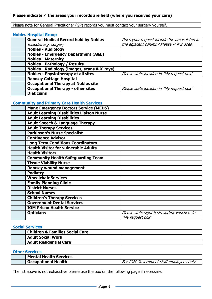# **Please indicate**  $\checkmark$  **the areas your records are held (where you received your care)**

Please note for General Practitioner (GP) records you must contact your surgery yourself.

#### **Nobles Hospital Group**

| <b>General Medical Record held by Nobles</b>   | Does your request include the areas listed in        |
|------------------------------------------------|------------------------------------------------------|
| Includes e.g. surgery                          | the adjacent column? Please $\checkmark$ if it does. |
| <b>Nobles - Audiology</b>                      |                                                      |
| <b>Nobles - Emergency Department (A&amp;E)</b> |                                                      |
| <b>Nobles - Maternity</b>                      |                                                      |
| <b>Nobles - Pathology / Results</b>            |                                                      |
| Nobles - Radiology (images, scans & X-rays)    |                                                      |
| <b>Nobles - Physiotherapy at all sites</b>     | Please state location in "My request box"            |
| <b>Ramsey Cottage Hospital</b>                 |                                                      |
| <b>Occupational Therapy at Nobles site</b>     |                                                      |
| <b>Occupational Therapy - other sites</b>      | Please state location in "My request box"            |
| <b>Dieticians</b>                              |                                                      |

## **Community and Primary Care Health Services**

| <b>Manx Emergency Doctors Service (MEDS)</b>     |                                             |
|--------------------------------------------------|---------------------------------------------|
| <b>Adult Learning Disabilities Liaison Nurse</b> |                                             |
| <b>Adult Learning Disabilities</b>               |                                             |
| <b>Adult Speech &amp; Language Therapy</b>       |                                             |
| <b>Adult Therapy Services</b>                    |                                             |
| <b>Parkinson's Nurse Specialist</b>              |                                             |
| <b>Continence Advisor</b>                        |                                             |
| <b>Long Term Conditions Coordinators</b>         |                                             |
| <b>Health Visitor for vulnerable Adults</b>      |                                             |
| <b>Health Visitors</b>                           |                                             |
| <b>Community Health Safeguarding Team</b>        |                                             |
| <b>Tissue Viability Nurse</b>                    |                                             |
| <b>Ramsey wound management</b>                   |                                             |
| <b>Podiatry</b>                                  |                                             |
| <b>Wheelchair Services</b>                       |                                             |
| <b>Family Planning Clinic</b>                    |                                             |
| <b>District Nurses</b>                           |                                             |
| <b>School Nurses</b>                             |                                             |
| <b>Children's Therapy Services</b>               |                                             |
| <b>Government Dental Services</b>                |                                             |
| <b>IOM Prison Health Service</b>                 |                                             |
| <b>Opticians</b>                                 | Please state sight tests and/or vouchers in |
|                                                  | "My request box"                            |

#### **Social Services**

|  | <b>Children &amp; Families Social Care</b> |  |
|--|--------------------------------------------|--|
|  | <b>Adult Social Work</b>                   |  |
|  | <b>Adult Residential Care</b>              |  |

#### **Other Services**

| <b>Mental Health Services</b> |                                         |
|-------------------------------|-----------------------------------------|
| <b>Occupational Health</b>    | For IOM Government staff employees only |

The list above is not exhaustive please use the box on the following page if necessary.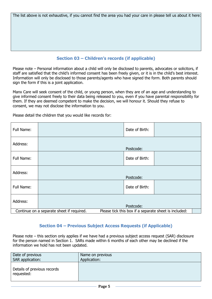The list above is not exhaustive, if you cannot find the area you had your care in please tell us about it here:

# **Section 03 – Children's records (if applicable)**

Please note – Personal information about a child will only be disclosed to parents, advocates or solicitors, if staff are satisfied that the child's informed consent has been freely given, or it is in the child's best interest. Information will only be disclosed to those parents/agents who have signed the form. Both parents should sign the form if this is a joint application.

Manx Care will seek consent of the child, or young person, when they are of an age and understanding to give informed consent freely to their data being released to you, even if you have parental responsibility for them. If they are deemed competent to make the decision, we will honour it. Should they refuse to consent, we may not disclose the information to you.

| Full Name:                                                                                         |  | Date of Birth: |  |  |
|----------------------------------------------------------------------------------------------------|--|----------------|--|--|
| Address:                                                                                           |  | Postcode:      |  |  |
| Full Name:                                                                                         |  | Date of Birth: |  |  |
| Address:                                                                                           |  | Postcode:      |  |  |
| Full Name:                                                                                         |  | Date of Birth: |  |  |
| Address:                                                                                           |  | Postcode:      |  |  |
| Continue on a separate sheet if required.<br>Please tick this box if a separate sheet is included: |  |                |  |  |

Please detail the children that you would like records for:

## **Section 04 – Previous Subject Access Requests (if Applicable)**

Please note – this section only applies if we have had a previous subject access request (SAR) disclosure for the person named in Section 1. SARs made within 6 months of each other may be declined if the information we hold has not been updated.

| Date of previous                          | Name on previous |
|-------------------------------------------|------------------|
| SAR application:                          | Application:     |
| Details of previous records<br>requested: |                  |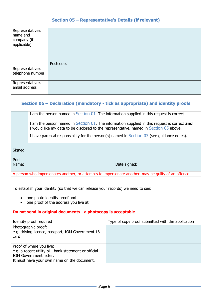# **Section 05 – Representative's Details (if relevant)**

| Representative's<br>name and<br>company (if<br>applicable) |           |
|------------------------------------------------------------|-----------|
|                                                            | Postcode: |
| Representative's<br>telephone number                       |           |
| Representative's<br>email address                          |           |

# **Section 06 – Declaration (mandatory - tick as appropriate) and identity proofs**

|                | I am the person named in Section 01. The information supplied in this request is correct                                                                                               |
|----------------|----------------------------------------------------------------------------------------------------------------------------------------------------------------------------------------|
|                | I am the person named in Section 01. The information supplied in this request is correct and<br>I would like my data to be disclosed to the representative, named in Section 05 above. |
|                | I have parental responsibility for the person(s) named in Section $03$ (see guidance notes).                                                                                           |
| Signed:        |                                                                                                                                                                                        |
| Print<br>Name: | Date signed:                                                                                                                                                                           |

A person who impersonates another, or attempts to impersonate another, may be guilty of an offence.

To establish your identity (so that we can release your records) we need to see:

- one photo identity proof and
- one proof of the address you live at.

## **Do not send in original documents - a photocopy is acceptable**.

| Identity proof required                                                                                                                                     | Type of copy proof submitted with the application |
|-------------------------------------------------------------------------------------------------------------------------------------------------------------|---------------------------------------------------|
| Photographic proof:<br>e.g. driving licence, passport, IOM Government 18+<br>card                                                                           |                                                   |
| Proof of where you live:<br>e.g. a recent utility bill, bank statement or official<br>IOM Government letter.<br>It must have your own name on the document. |                                                   |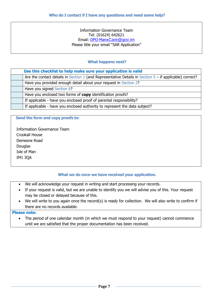Information Governance Team Tel: (01624) 642621 Email: DPO-Manx[Care@gov.im](mailto:DPO-ManxCare@gov.im) Please title your email "SAR Application"

## **What happens next?**

| Use this checklist to help make sure your application is valid                                            |
|-----------------------------------------------------------------------------------------------------------|
| Are the contact details in Section 1 (and Representative Details in Section $5 -$ if applicable) correct? |
| Have you provided enough detail about your request in Section 2?                                          |
| Have you signed Section 6?                                                                                |
| Have you enclosed two forms of copy identification proofs?                                                |
| If applicable - have you enclosed proof of parental responsibility?                                       |
| If applicable - have you enclosed authority to represent the data subject?                                |

#### **Send the form and copy proofs to:**

 Information Governance Team Crookall House Demesne Road Douglas Isle of Man IM1 3QA

## **What we do once we have received your application.**

- We will acknowledge your request in writing and start processing your records.
- If your request is valid, but we are unable to identify you we will advise you of this. Your request may be closed or delayed because of this.
- We will write to you again once the record(s) is ready for collection. We will also write to confirm if there are no records available.

## **Please note:**

 The period of one calendar month (in which we must respond to your request) cannot commence until we are satisfied that the proper documentation has been received.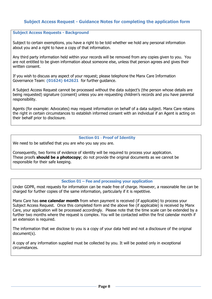# **Subject Access Request - Guidance Notes for completing the application form**

#### **Subject Access Requests - Background**

Subject to certain exemptions, you have a right to be told whether we hold any personal information about you and a right to have a copy of that information.

Any third party information held within your records will be removed from any copies given to you. You are not entitled to be given information about someone else, unless that person agrees and gives their written consent.

If you wish to discuss any aspect of your request; please telephone the Manx Care Information Governance Team: **(01624) 642621** for further guidance.

A Subject Access Request cannot be processed without the data subject's (the person whose details are being requested) signature (consent) unless you are requesting children's records and you have parental responsibility.

Agents (for example: Advocates) may request information on behalf of a data subject. Manx Care retains the right in certain circumstances to establish informed consent with an individual if an Agent is acting on their behalf prior to disclosure.

#### **Section 01 - Proof of Identity**

We need to be satisfied that you are who you say you are.

Consequently, two forms of evidence of identity will be required to process your application. These proofs **should be a photocopy**; do not provide the original documents as we cannot be responsible for their safe keeping.

#### **Section 01 – Fee and processing your application**

Under GDPR, most requests for information can be made free of charge. However, a reasonable fee can be charged for further copies of the same information, particularly if it is repetitive.

Manx Care has **one calendar month** from when payment is received (if applicable) to process your Subject Access Request. Once this completed form and the above fee (if applicable) is received by Manx Care, your application will be processed accordingly. Please note that the time scale can be extended by a further two months where the request is complex. You will be contacted within the first calendar month if an extension is required.

The information that we disclose to you is a copy of your data held and not a disclosure of the original document(s).

A copy of any information supplied must be collected by you. It will be posted only in exceptional circumstances.